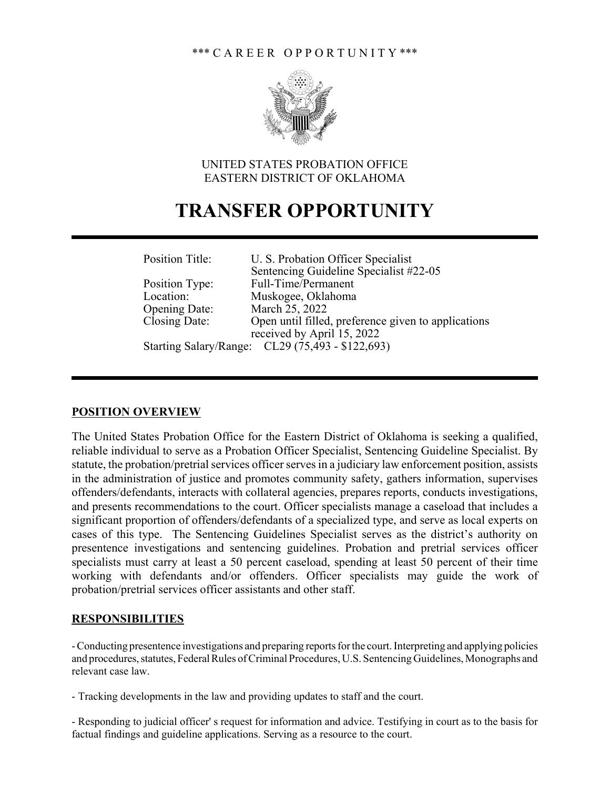

## UNITED STATES PROBATION OFFICE EASTERN DISTRICT OF OKLAHOMA

# **TRANSFER OPPORTUNITY**

| Position Title:      | U. S. Probation Officer Specialist                  |
|----------------------|-----------------------------------------------------|
|                      | Sentencing Guideline Specialist #22-05              |
| Position Type:       | Full-Time/Permanent                                 |
| Location:            | Muskogee, Oklahoma                                  |
| <b>Opening Date:</b> | March 25, 2022                                      |
| Closing Date:        | Open until filled, preference given to applications |
|                      | received by April 15, 2022                          |
|                      | Starting Salary/Range: CL29 (75,493 - \$122,693)    |

#### **POSITION OVERVIEW**

The United States Probation Office for the Eastern District of Oklahoma is seeking a qualified, reliable individual to serve as a Probation Officer Specialist, Sentencing Guideline Specialist. By statute, the probation/pretrial services officer serves in a judiciary law enforcement position, assists in the administration of justice and promotes community safety, gathers information, supervises offenders/defendants, interacts with collateral agencies, prepares reports, conducts investigations, and presents recommendations to the court. Officer specialists manage a caseload that includes a significant proportion of offenders/defendants of a specialized type, and serve as local experts on cases of this type. The Sentencing Guidelines Specialist serves as the district's authority on presentence investigations and sentencing guidelines. Probation and pretrial services officer specialists must carry at least a 50 percent caseload, spending at least 50 percent of their time working with defendants and/or offenders. Officer specialists may guide the work of probation/pretrial services officer assistants and other staff.

## **RESPONSIBILITIES**

- Conducting presentence investigations and preparing reports for the court. Interpreting and applying policies and procedures, statutes, Federal Rules of Criminal Procedures, U.S. Sentencing Guidelines, Monographs and relevant case law.

- Tracking developments in the law and providing updates to staff and the court.

- Responding to judicial officer' s request for information and advice. Testifying in court as to the basis for factual findings and guideline applications. Serving as a resource to the court.